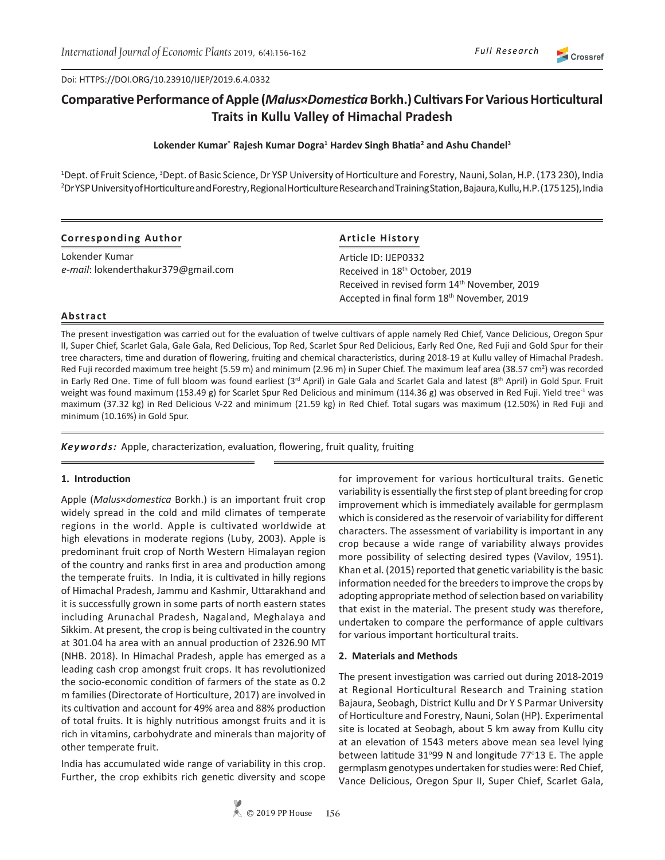Crossref

Doi: HTTPS://DOI.ORG/10.23910/IJEP/2019.6.4.0332

# **Comparative Performance of Apple (***Malus***×***Domestica* **Borkh.) Cultivars For Various Horticultural Traits in Kullu Valley of Himachal Pradesh**

## **Lokender Kumar\* Rajesh Kumar Dogra<sup>1</sup> Hardev Singh Bhatia<sup>2</sup> and Ashu Chandel<sup>3</sup>**

<sup>1</sup>Dept. of Fruit Science, <sup>3</sup>Dept. of Basic Science, Dr YSP University of Horticulture and Forestry, Nauni, Solan, H.P. (173 230), India 2 Dr YSP University of Horticulture and Forestry, Regional Horticulture Research and Training Station, Bajaura, Kullu, H.P. (175 125), India

## **Corresponding Author**

Lokender Kumar *e-mail*: lokenderthakur379@gmail.com

# **Article History**

Article ID: IJEP0332 Received in 18<sup>th</sup> October, 2019 Received in revised form 14<sup>th</sup> November, 2019 Accepted in final form 18th November, 2019

#### **Abstract**

The present investigation was carried out for the evaluation of twelve cultivars of apple namely Red Chief, Vance Delicious, Oregon Spur II, Super Chief, Scarlet Gala, Gale Gala, Red Delicious, Top Red, Scarlet Spur Red Delicious, Early Red One, Red Fuji and Gold Spur for their tree characters, time and duration of flowering, fruiting and chemical characteristics, during 2018-19 at Kullu valley of Himachal Pradesh. Red Fuji recorded maximum tree height (5.59 m) and minimum (2.96 m) in Super Chief. The maximum leaf area (38.57 cm<sup>2</sup>) was recorded in Early Red One. Time of full bloom was found earliest (3<sup>rd</sup> April) in Gale Gala and Scarlet Gala and latest (8<sup>th</sup> April) in Gold Spur. Fruit weight was found maximum (153.49 g) for Scarlet Spur Red Delicious and minimum (114.36 g) was observed in Red Fuji. Yield tree<sup>-1</sup> was maximum (37.32 kg) in Red Delicious V-22 and minimum (21.59 kg) in Red Chief. Total sugars was maximum (12.50%) in Red Fuji and minimum (10.16%) in Gold Spur.

*Keywords:* Apple, characterization, evaluation, flowering, fruit quality, fruiting

#### **1. Introduction**

Apple (*Malus*×*domestica* Borkh.) is an important fruit crop widely spread in the cold and mild climates of temperate regions in the world. Apple is cultivated worldwide at high elevations in moderate regions (Luby, 2003). Apple is predominant fruit crop of North Western Himalayan region of the country and ranks first in area and production among the temperate fruits. In India, it is cultivated in hilly regions of Himachal Pradesh, Jammu and Kashmir, Uttarakhand and it is successfully grown in some parts of north eastern states including Arunachal Pradesh, Nagaland, Meghalaya and Sikkim. At present, the crop is being cultivated in the country at 301.04 ha area with an annual production of 2326.90 MT (NHB. 2018). In Himachal Pradesh, apple has emerged as a leading cash crop amongst fruit crops. It has revolutionized the socio-economic condition of farmers of the state as 0.2 m families (Directorate of Horticulture, 2017) are involved in its cultivation and account for 49% area and 88% production of total fruits. It is highly nutritious amongst fruits and it is rich in vitamins, carbohydrate and minerals than majority of other temperate fruit.

India has accumulated wide range of variability in this crop. Further, the crop exhibits rich genetic diversity and scope for improvement for various horticultural traits. Genetic variability is essentially the first step of plant breeding for crop improvement which is immediately available for germplasm which is considered as the reservoir of variability for different characters. The assessment of variability is important in any crop because a wide range of variability always provides more possibility of selecting desired types (Vavilov, 1951). Khan et al. (2015) reported that genetic variability is the basic information needed for the breeders to improve the crops by adopting appropriate method of selection based on variability that exist in the material. The present study was therefore, undertaken to compare the performance of apple cultivars for various important horticultural traits.

#### **2. Materials and Methods**

The present investigation was carried out during 2018-2019 at Regional Horticultural Research and Training station Bajaura, Seobagh, District Kullu and Dr Y S Parmar University of Horticulture and Forestry, Nauni, Solan (HP). Experimental site is located at Seobagh, about 5 km away from Kullu city at an elevation of 1543 meters above mean sea level lying between latitude 31°99 N and longitude 77°13 E. The apple germplasm genotypes undertaken for studies were: Red Chief, Vance Delicious, Oregon Spur II, Super Chief, Scarlet Gala,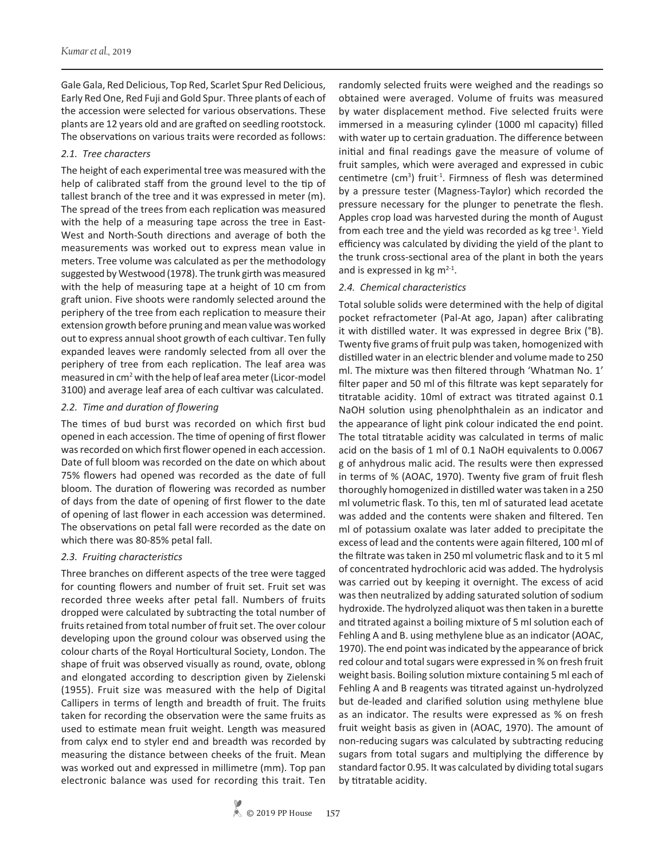Gale Gala, Red Delicious, Top Red, Scarlet Spur Red Delicious, Early Red One, Red Fuji and Gold Spur. Three plants of each of the accession were selected for various observations. These plants are 12 years old and are grafted on seedling rootstock. The observations on various traits were recorded as follows:

## *2.1. Tree characters*

The height of each experimental tree was measured with the help of calibrated staff from the ground level to the tip of tallest branch of the tree and it was expressed in meter (m). The spread of the trees from each replication was measured with the help of a measuring tape across the tree in East-West and North-South directions and average of both the measurements was worked out to express mean value in meters. Tree volume was calculated as per the methodology suggested by Westwood (1978). The trunk girth was measured with the help of measuring tape at a height of 10 cm from graft union. Five shoots were randomly selected around the periphery of the tree from each replication to measure their extension growth before pruning and mean value was worked out to express annual shoot growth of each cultivar. Ten fully expanded leaves were randomly selected from all over the periphery of tree from each replication. The leaf area was measured in cm<sup>2</sup> with the help of leaf area meter (Licor-model 3100) and average leaf area of each cultivar was calculated.

# *2.2. Time and duration of flowering*

The times of bud burst was recorded on which first bud opened in each accession. The time of opening of first flower was recorded on which first flower opened in each accession. Date of full bloom was recorded on the date on which about 75% flowers had opened was recorded as the date of full bloom. The duration of flowering was recorded as number of days from the date of opening of first flower to the date of opening of last flower in each accession was determined. The observations on petal fall were recorded as the date on which there was 80-85% petal fall.

# *2.3. Fruiting characteristics*

Three branches on different aspects of the tree were tagged for counting flowers and number of fruit set. Fruit set was recorded three weeks after petal fall. Numbers of fruits dropped were calculated by subtracting the total number of fruits retained from total number of fruit set. The over colour developing upon the ground colour was observed using the colour charts of the Royal Horticultural Society, London. The shape of fruit was observed visually as round, ovate, oblong and elongated according to description given by Zielenski (1955). Fruit size was measured with the help of Digital Callipers in terms of length and breadth of fruit. The fruits taken for recording the observation were the same fruits as used to estimate mean fruit weight. Length was measured from calyx end to styler end and breadth was recorded by measuring the distance between cheeks of the fruit. Mean was worked out and expressed in millimetre (mm). Top pan electronic balance was used for recording this trait. Ten

randomly selected fruits were weighed and the readings so obtained were averaged. Volume of fruits was measured by water displacement method. Five selected fruits were immersed in a measuring cylinder (1000 ml capacity) filled with water up to certain graduation. The difference between initial and final readings gave the measure of volume of fruit samples, which were averaged and expressed in cubic centimetre (cm<sup>3</sup>) fruit<sup>-1</sup>. Firmness of flesh was determined by a pressure tester (Magness-Taylor) which recorded the pressure necessary for the plunger to penetrate the flesh. Apples crop load was harvested during the month of August from each tree and the yield was recorded as  $kg$  tree<sup>-1</sup>. Yield efficiency was calculated by dividing the yield of the plant to the trunk cross-sectional area of the plant in both the years and is expressed in  $kg m<sup>2-1</sup>$ .

# *2.4. Chemical characteristics*

Total soluble solids were determined with the help of digital pocket refractometer (Pal-At ago, Japan) after calibrating it with distilled water. It was expressed in degree Brix (°B). Twenty five grams of fruit pulp was taken, homogenized with distilled water in an electric blender and volume made to 250 ml. The mixture was then filtered through 'Whatman No. 1' filter paper and 50 ml of this filtrate was kept separately for titratable acidity. 10ml of extract was titrated against 0.1 NaOH solution using phenolphthalein as an indicator and the appearance of light pink colour indicated the end point. The total titratable acidity was calculated in terms of malic acid on the basis of 1 ml of 0.1 NaOH equivalents to 0.0067 g of anhydrous malic acid. The results were then expressed in terms of % (AOAC, 1970). Twenty five gram of fruit flesh thoroughly homogenized in distilled water was taken in a 250 ml volumetric flask. To this, ten ml of saturated lead acetate was added and the contents were shaken and filtered. Ten ml of potassium oxalate was later added to precipitate the excess of lead and the contents were again filtered, 100 ml of the filtrate was taken in 250 ml volumetric flask and to it 5 ml of concentrated hydrochloric acid was added. The hydrolysis was carried out by keeping it overnight. The excess of acid was then neutralized by adding saturated solution of sodium hydroxide. The hydrolyzed aliquot was then taken in a burette and titrated against a boiling mixture of 5 ml solution each of Fehling A and B. using methylene blue as an indicator (AOAC, 1970). The end point was indicated by the appearance of brick red colour and total sugars were expressed in % on fresh fruit weight basis. Boiling solution mixture containing 5 ml each of Fehling A and B reagents was titrated against un-hydrolyzed but de-leaded and clarified solution using methylene blue as an indicator. The results were expressed as % on fresh fruit weight basis as given in (AOAC, 1970). The amount of non-reducing sugars was calculated by subtracting reducing sugars from total sugars and multiplying the difference by standard factor 0.95. It was calculated by dividing total sugars by titratable acidity.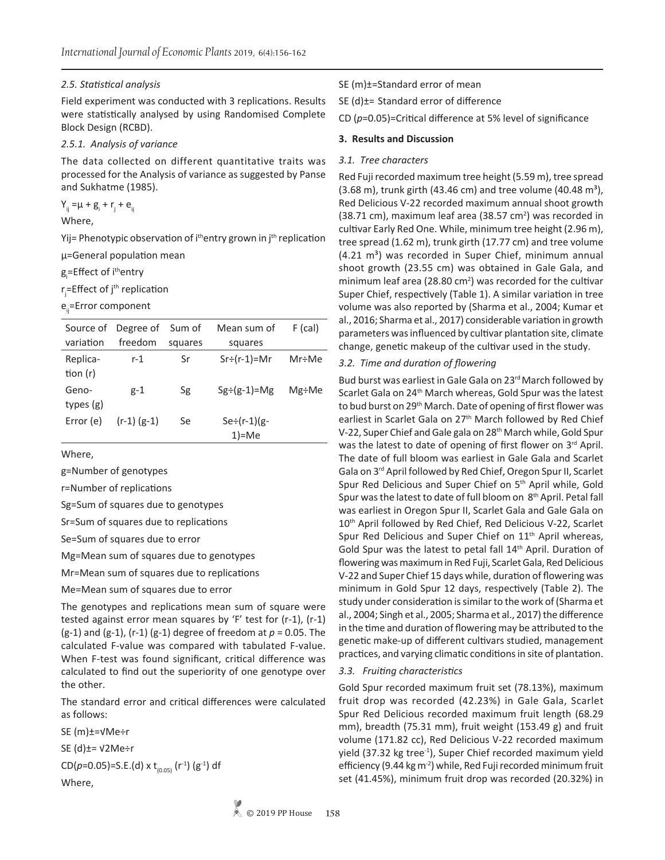### *2.5. Statistical analysis*

Field experiment was conducted with 3 replications. Results were statistically analysed by using Randomised Complete Block Design (RCBD).

## *2.5.1. Analysis of variance*

The data collected on different quantitative traits was processed for the Analysis of variance as suggested by Panse and Sukhatme (1985).

 $Y_{ij} = \mu + g_i + r_j + e_{ij}$ 

Where,

Yij= Phenotypic observation of i<sup>th</sup>entry grown in j<sup>th</sup> replication µ=General population mean

g<sub>i</sub>=Effect of i<sup>th</sup>entry

r<sub>j</sub>=Effect of j<sup>th</sup> replication

e<sub>ij</sub>=Error component

| Source of              | Degree of       | Sum of  | Mean sum of                    | $F$ (cal) |
|------------------------|-----------------|---------|--------------------------------|-----------|
| variation              | freedom         | squares | squares                        |           |
| Replica-<br>tion $(r)$ | r-1             | Sr      | $Sr \div (r-1) = Mr$           | Mr÷Me     |
| Geno-<br>types $(g)$   | $g-1$           | Sg      | $Sg \div (g-1) = Mg$           | Mg÷Me     |
| Error (e)              | $(r-1)$ $(g-1)$ | Se      | $Se \div (r-1)(g-$<br>$1$ )=Me |           |

Where,

g=Number of genotypes

r=Number of replications

Sg=Sum of squares due to genotypes

Sr=Sum of squares due to replications

Se=Sum of squares due to error

Mg=Mean sum of squares due to genotypes

Mr=Mean sum of squares due to replications

Me=Mean sum of squares due to error

The genotypes and replications mean sum of square were tested against error mean squares by 'F' test for (r-1), (r-1) (g-1) and (g-1), (r-1) (g-1) degree of freedom at *p* = 0.05. The calculated F-value was compared with tabulated F-value. When F-test was found significant, critical difference was calculated to find out the superiority of one genotype over the other.

The standard error and critical differences were calculated as follows:

SE (m)±=√Me÷r

SE (d)±= √2Me÷r

CD( $p=0.05$ )=S.E.(d) x t<sub>(0.05)</sub> (r<sup>-1</sup>) (g<sup>-1</sup>) df Where,

SE (m)±=Standard error of mean

SE (d)±= Standard error of difference

CD (*p*=0.05)=Critical difference at 5% level of significance

#### **3. Results and Discussion**

#### *3.1. Tree characters*

Red Fuji recorded maximum tree height (5.59 m), tree spread  $(3.68 \text{ m})$ , trunk girth  $(43.46 \text{ cm})$  and tree volume  $(40.48 \text{ m}^3)$ , Red Delicious V-22 recorded maximum annual shoot growth  $(38.71 \text{ cm})$ , maximum leaf area  $(38.57 \text{ cm}^2)$  was recorded in cultivar Early Red One. While, minimum tree height (2.96 m), tree spread (1.62 m), trunk girth (17.77 cm) and tree volume  $(4.21 \text{ m}^3)$  was recorded in Super Chief, minimum annual shoot growth (23.55 cm) was obtained in Gale Gala, and minimum leaf area (28.80  $\text{cm}^2$ ) was recorded for the cultivar Super Chief, respectively (Table 1). A similar variation in tree volume was also reported by (Sharma et al., 2004; Kumar et al., 2016; Sharma et al., 2017) considerable variation in growth parameters was influenced by cultivar plantation site, climate change, genetic makeup of the cultivar used in the study.

#### *3.2. Time and duration of flowering*

Bud burst was earliest in Gale Gala on 23rd March followed by Scarlet Gala on 24<sup>th</sup> March whereas, Gold Spur was the latest to bud burst on 29<sup>th</sup> March. Date of opening of first flower was earliest in Scarlet Gala on 27<sup>th</sup> March followed by Red Chief V-22, Super Chief and Gale gala on 28th March while, Gold Spur was the latest to date of opening of first flower on 3rd April. The date of full bloom was earliest in Gale Gala and Scarlet Gala on 3rd April followed by Red Chief, Oregon Spur II, Scarlet Spur Red Delicious and Super Chief on 5<sup>th</sup> April while, Gold Spur was the latest to date of full bloom on 8th April. Petal fall was earliest in Oregon Spur II, Scarlet Gala and Gale Gala on 10<sup>th</sup> April followed by Red Chief, Red Delicious V-22, Scarlet Spur Red Delicious and Super Chief on 11<sup>th</sup> April whereas, Gold Spur was the latest to petal fall 14<sup>th</sup> April. Duration of flowering was maximum in Red Fuji, Scarlet Gala, Red Delicious V-22 and Super Chief 15 days while, duration of flowering was minimum in Gold Spur 12 days, respectively (Table 2). The study under consideration is similar to the work of (Sharma et al., 2004; Singh et al., 2005; Sharma et al., 2017) the difference in the time and duration of flowering may be attributed to the genetic make-up of different cultivars studied, management practices, and varying climatic conditions in site of plantation.

#### *3.3. Fruiting characteristics*

Gold Spur recorded maximum fruit set (78.13%), maximum fruit drop was recorded (42.23%) in Gale Gala, Scarlet Spur Red Delicious recorded maximum fruit length (68.29 mm), breadth (75.31 mm), fruit weight (153.49 g) and fruit volume (171.82 cc), Red Delicious V-22 recorded maximum yield (37.32 kg tree<sup>-1</sup>), Super Chief recorded maximum yield efficiency (9.44 kg m<sup>-2</sup>) while, Red Fuji recorded minimum fruit set (41.45%), minimum fruit drop was recorded (20.32%) in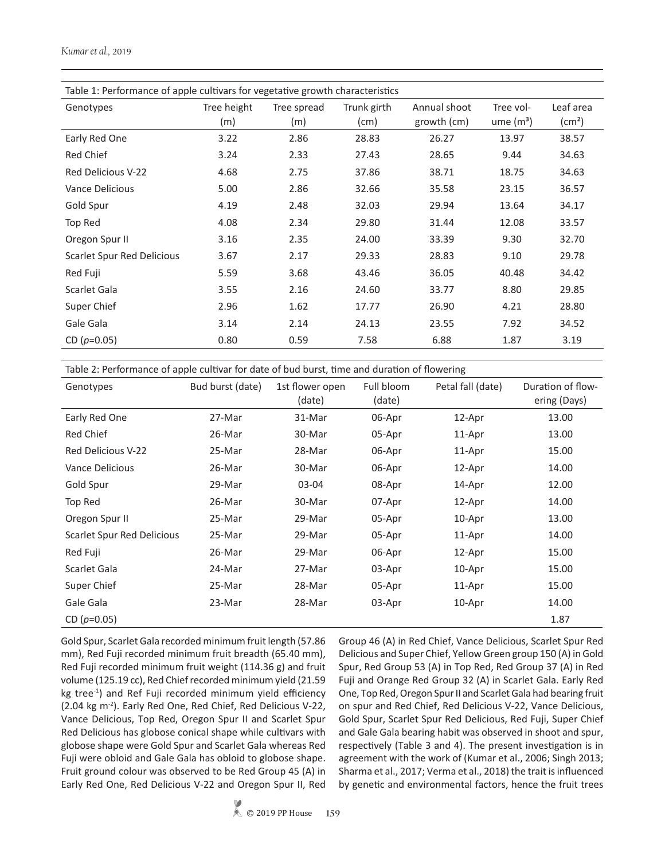| Table 1: Performance of apple cultivars for vegetative growth characteristics |                    |                    |                             |                             |                          |                           |  |
|-------------------------------------------------------------------------------|--------------------|--------------------|-----------------------------|-----------------------------|--------------------------|---------------------------|--|
| Genotypes                                                                     | Tree height<br>(m) | Tree spread<br>(m) | Trunk girth<br>$\pmb{(cm)}$ | Annual shoot<br>growth (cm) | Tree vol-<br>ume $(m^3)$ | Leaf area<br>$\rm (cm^2)$ |  |
| Early Red One                                                                 | 3.22               | 2.86               | 28.83                       | 26.27                       | 13.97                    | 38.57                     |  |
| Red Chief                                                                     | 3.24               | 2.33               | 27.43                       | 28.65                       | 9.44                     | 34.63                     |  |
| <b>Red Delicious V-22</b>                                                     | 4.68               | 2.75               | 37.86                       | 38.71                       | 18.75                    | 34.63                     |  |
| Vance Delicious                                                               | 5.00               | 2.86               | 32.66                       | 35.58                       | 23.15                    | 36.57                     |  |
| Gold Spur                                                                     | 4.19               | 2.48               | 32.03                       | 29.94                       | 13.64                    | 34.17                     |  |
| Top Red                                                                       | 4.08               | 2.34               | 29.80                       | 31.44                       | 12.08                    | 33.57                     |  |
| Oregon Spur II                                                                | 3.16               | 2.35               | 24.00                       | 33.39                       | 9.30                     | 32.70                     |  |
| Scarlet Spur Red Delicious                                                    | 3.67               | 2.17               | 29.33                       | 28.83                       | 9.10                     | 29.78                     |  |
| Red Fuji                                                                      | 5.59               | 3.68               | 43.46                       | 36.05                       | 40.48                    | 34.42                     |  |
| Scarlet Gala                                                                  | 3.55               | 2.16               | 24.60                       | 33.77                       | 8.80                     | 29.85                     |  |
| Super Chief                                                                   | 2.96               | 1.62               | 17.77                       | 26.90                       | 4.21                     | 28.80                     |  |
| Gale Gala                                                                     | 3.14               | 2.14               | 24.13                       | 23.55                       | 7.92                     | 34.52                     |  |
| CD $(p=0.05)$                                                                 | 0.80               | 0.59               | 7.58                        | 6.88                        | 1.87                     | 3.19                      |  |

Table 2: Performance of apple cultivar for date of bud burst, time and duration of flowering

| Genotypes                  | Bud burst (date) | 1st flower open<br>(date) | Full bloom<br>(date) | Petal fall (date) | Duration of flow-<br>ering (Days) |
|----------------------------|------------------|---------------------------|----------------------|-------------------|-----------------------------------|
| Early Red One              | 27-Mar           | 31-Mar                    | 06-Apr               | 12-Apr            | 13.00                             |
| Red Chief                  | 26-Mar           | 30-Mar                    | 05-Apr               | 11-Apr            | 13.00                             |
| Red Delicious V-22         | 25-Mar           | 28-Mar                    | 06-Apr               | 11-Apr            | 15.00                             |
| Vance Delicious            | 26-Mar           | 30-Mar                    | 06-Apr               | 12-Apr            | 14.00                             |
| Gold Spur                  | 29-Mar           | 03-04                     | 08-Apr               | 14-Apr            | 12.00                             |
| Top Red                    | 26-Mar           | 30-Mar                    | 07-Apr               | 12-Apr            | 14.00                             |
| Oregon Spur II             | 25-Mar           | 29-Mar                    | 05-Apr               | 10-Apr            | 13.00                             |
| Scarlet Spur Red Delicious | 25-Mar           | 29-Mar                    | 05-Apr               | 11-Apr            | 14.00                             |
| Red Fuji                   | 26-Mar           | 29-Mar                    | 06-Apr               | 12-Apr            | 15.00                             |
| Scarlet Gala               | 24-Mar           | 27-Mar                    | 03-Apr               | 10-Apr            | 15.00                             |
| Super Chief                | 25-Mar           | 28-Mar                    | 05-Apr               | 11-Apr            | 15.00                             |
| Gale Gala                  | 23-Mar           | 28-Mar                    | 03-Apr               | 10-Apr            | 14.00                             |
| CD $(p=0.05)$              |                  |                           |                      |                   | 1.87                              |

Gold Spur, Scarlet Gala recorded minimum fruit length (57.86 mm), Red Fuji recorded minimum fruit breadth (65.40 mm), Red Fuji recorded minimum fruit weight (114.36 g) and fruit volume (125.19 cc), Red Chief recorded minimum yield (21.59 kg tree<sup>-1</sup>) and Ref Fuji recorded minimum yield efficiency (2.04 kg m-2). Early Red One, Red Chief, Red Delicious V-22, Vance Delicious, Top Red, Oregon Spur II and Scarlet Spur Red Delicious has globose conical shape while cultivars with globose shape were Gold Spur and Scarlet Gala whereas Red Fuji were obloid and Gale Gala has obloid to globose shape. Fruit ground colour was observed to be Red Group 45 (A) in Early Red One, Red Delicious V-22 and Oregon Spur II, Red Group 46 (A) in Red Chief, Vance Delicious, Scarlet Spur Red Delicious and Super Chief, Yellow Green group 150 (A) in Gold Spur, Red Group 53 (A) in Top Red, Red Group 37 (A) in Red Fuji and Orange Red Group 32 (A) in Scarlet Gala. Early Red One, Top Red, Oregon Spur II and Scarlet Gala had bearing fruit on spur and Red Chief, Red Delicious V-22, Vance Delicious, Gold Spur, Scarlet Spur Red Delicious, Red Fuji, Super Chief and Gale Gala bearing habit was observed in shoot and spur, respectively (Table 3 and 4). The present investigation is in agreement with the work of (Kumar et al., 2006; Singh 2013; Sharma et al., 2017; Verma et al., 2018) the trait is influenced by genetic and environmental factors, hence the fruit trees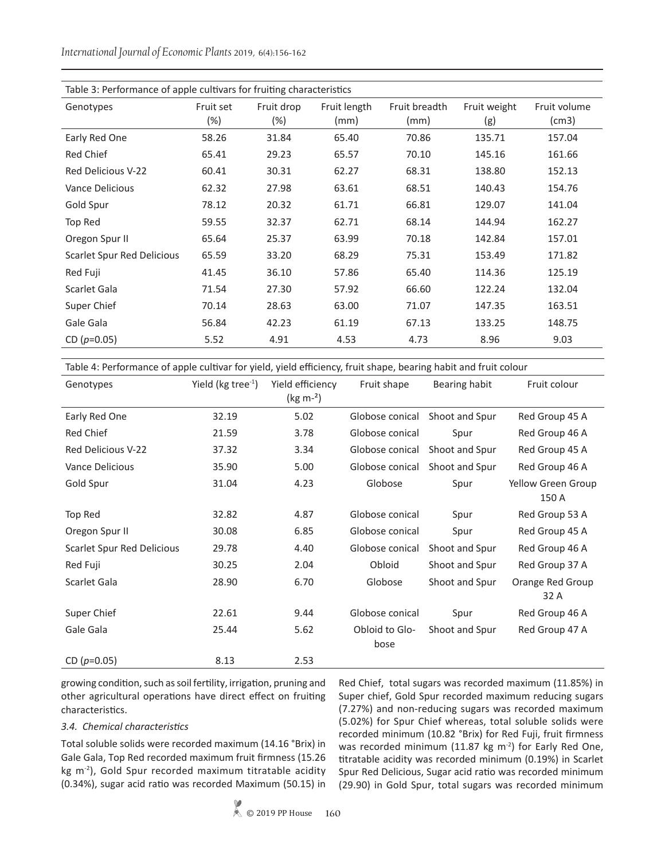*International Journal of Economic Plants* 2019, 6(4):156-162

| Table 3: Performance of apple cultivars for fruiting characteristics |           |            |              |               |              |              |  |
|----------------------------------------------------------------------|-----------|------------|--------------|---------------|--------------|--------------|--|
| Genotypes                                                            | Fruit set | Fruit drop | Fruit length | Fruit breadth | Fruit weight | Fruit volume |  |
|                                                                      | $(\%)$    | $(\%)$     | (mm)         | (mm)          | (g)          | (cm3)        |  |
| Early Red One                                                        | 58.26     | 31.84      | 65.40        | 70.86         | 135.71       | 157.04       |  |
| Red Chief                                                            | 65.41     | 29.23      | 65.57        | 70.10         | 145.16       | 161.66       |  |
| <b>Red Delicious V-22</b>                                            | 60.41     | 30.31      | 62.27        | 68.31         | 138.80       | 152.13       |  |
| Vance Delicious                                                      | 62.32     | 27.98      | 63.61        | 68.51         | 140.43       | 154.76       |  |
| Gold Spur                                                            | 78.12     | 20.32      | 61.71        | 66.81         | 129.07       | 141.04       |  |
| Top Red                                                              | 59.55     | 32.37      | 62.71        | 68.14         | 144.94       | 162.27       |  |
| Oregon Spur II                                                       | 65.64     | 25.37      | 63.99        | 70.18         | 142.84       | 157.01       |  |
| Scarlet Spur Red Delicious                                           | 65.59     | 33.20      | 68.29        | 75.31         | 153.49       | 171.82       |  |
| Red Fuji                                                             | 41.45     | 36.10      | 57.86        | 65.40         | 114.36       | 125.19       |  |
| Scarlet Gala                                                         | 71.54     | 27.30      | 57.92        | 66.60         | 122.24       | 132.04       |  |
| Super Chief                                                          | 70.14     | 28.63      | 63.00        | 71.07         | 147.35       | 163.51       |  |
| Gale Gala                                                            | 56.84     | 42.23      | 61.19        | 67.13         | 133.25       | 148.75       |  |
| CD $(p=0.05)$                                                        | 5.52      | 4.91       | 4.53         | 4.73          | 8.96         | 9.03         |  |

Table 4: Performance of apple cultivar for yield, yield efficiency, fruit shape, bearing habit and fruit colour

| Genotypes                  | Yield ( $kg$ tree $^{-1}$ ) | Yield efficiency<br>( $kg m-2$ ) | Fruit shape            | Bearing habit  | Fruit colour                |
|----------------------------|-----------------------------|----------------------------------|------------------------|----------------|-----------------------------|
| Early Red One              | 32.19                       | 5.02                             | Globose conical        | Shoot and Spur | Red Group 45 A              |
| Red Chief                  | 21.59                       | 3.78                             | Globose conical        | Spur           | Red Group 46 A              |
| Red Delicious V-22         | 37.32                       | 3.34                             | Globose conical        | Shoot and Spur | Red Group 45 A              |
| <b>Vance Delicious</b>     | 35.90                       | 5.00                             | Globose conical        | Shoot and Spur | Red Group 46 A              |
| Gold Spur                  | 31.04                       | 4.23                             | Globose                | Spur           | Yellow Green Group<br>150 A |
| Top Red                    | 32.82                       | 4.87                             | Globose conical        | Spur           | Red Group 53 A              |
| Oregon Spur II             | 30.08                       | 6.85                             | Globose conical        | Spur           | Red Group 45 A              |
| Scarlet Spur Red Delicious | 29.78                       | 4.40                             | Globose conical        | Shoot and Spur | Red Group 46 A              |
| Red Fuji                   | 30.25                       | 2.04                             | Obloid                 | Shoot and Spur | Red Group 37 A              |
| Scarlet Gala               | 28.90                       | 6.70                             | Globose                | Shoot and Spur | Orange Red Group<br>32 A    |
| Super Chief                | 22.61                       | 9.44                             | Globose conical        | Spur           | Red Group 46 A              |
| Gale Gala                  | 25.44                       | 5.62                             | Obloid to Glo-<br>bose | Shoot and Spur | Red Group 47 A              |
| CD $(p=0.05)$              | 8.13                        | 2.53                             |                        |                |                             |

growing condition, such as soil fertility, irrigation, pruning and other agricultural operations have direct effect on fruiting characteristics.

#### *3.4. Chemical characteristics*

Total soluble solids were recorded maximum (14.16 °Brix) in Gale Gala, Top Red recorded maximum fruit firmness (15.26 kg m<sup>-2</sup>), Gold Spur recorded maximum titratable acidity (0.34%), sugar acid ratio was recorded Maximum (50.15) in Red Chief, total sugars was recorded maximum (11.85%) in Super chief, Gold Spur recorded maximum reducing sugars (7.27%) and non-reducing sugars was recorded maximum (5.02%) for Spur Chief whereas, total soluble solids were recorded minimum (10.82 °Brix) for Red Fuji, fruit firmness was recorded minimum (11.87 kg  $m<sup>2</sup>$ ) for Early Red One, titratable acidity was recorded minimum (0.19%) in Scarlet Spur Red Delicious, Sugar acid ratio was recorded minimum (29.90) in Gold Spur, total sugars was recorded minimum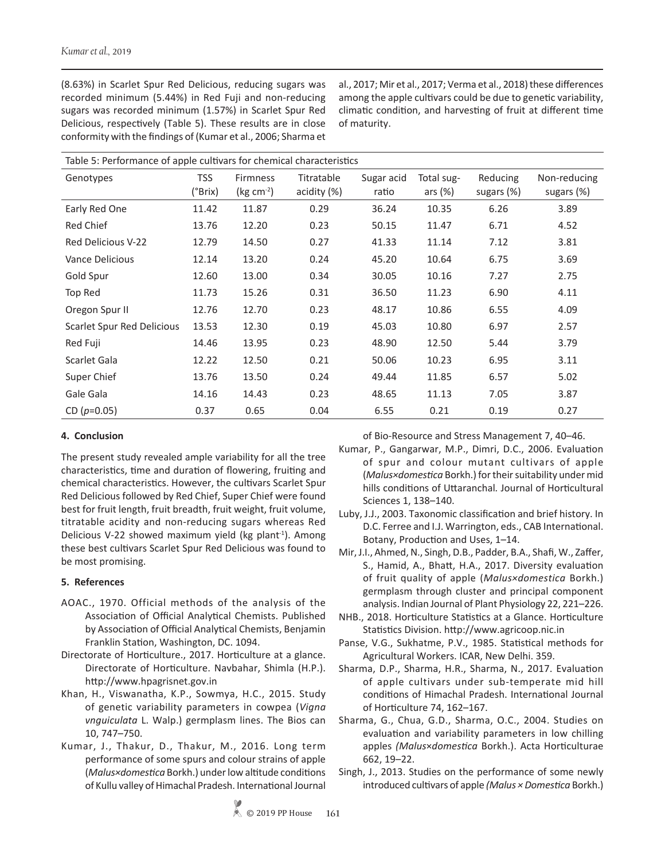(8.63%) in Scarlet Spur Red Delicious, reducing sugars was recorded minimum (5.44%) in Red Fuji and non-reducing sugars was recorded minimum (1.57%) in Scarlet Spur Red Delicious, respectively (Table 5). These results are in close conformity with the findings of (Kumar et al., 2006; Sharma et al., 2017; Mir et al., 2017; Verma et al., 2018) these differences among the apple cultivars could be due to genetic variability, climatic condition, and harvesting of fruit at different time of maturity.

| Table 5: Performance of apple cultivars for chemical characteristics |         |                 |             |            |            |            |              |
|----------------------------------------------------------------------|---------|-----------------|-------------|------------|------------|------------|--------------|
| Genotypes                                                            | TSS     | <b>Firmness</b> | Titratable  | Sugar acid | Total sug- | Reducing   | Non-reducing |
|                                                                      | (°Brix) | (kg $cm-2$ )    | acidity (%) | ratio      | ars $(%$   | sugars (%) | sugars (%)   |
| Early Red One                                                        | 11.42   | 11.87           | 0.29        | 36.24      | 10.35      | 6.26       | 3.89         |
| Red Chief                                                            | 13.76   | 12.20           | 0.23        | 50.15      | 11.47      | 6.71       | 4.52         |
| <b>Red Delicious V-22</b>                                            | 12.79   | 14.50           | 0.27        | 41.33      | 11.14      | 7.12       | 3.81         |
| Vance Delicious                                                      | 12.14   | 13.20           | 0.24        | 45.20      | 10.64      | 6.75       | 3.69         |
| Gold Spur                                                            | 12.60   | 13.00           | 0.34        | 30.05      | 10.16      | 7.27       | 2.75         |
| Top Red                                                              | 11.73   | 15.26           | 0.31        | 36.50      | 11.23      | 6.90       | 4.11         |
| Oregon Spur II                                                       | 12.76   | 12.70           | 0.23        | 48.17      | 10.86      | 6.55       | 4.09         |
| Scarlet Spur Red Delicious                                           | 13.53   | 12.30           | 0.19        | 45.03      | 10.80      | 6.97       | 2.57         |
| Red Fuji                                                             | 14.46   | 13.95           | 0.23        | 48.90      | 12.50      | 5.44       | 3.79         |
| Scarlet Gala                                                         | 12.22   | 12.50           | 0.21        | 50.06      | 10.23      | 6.95       | 3.11         |
| Super Chief                                                          | 13.76   | 13.50           | 0.24        | 49.44      | 11.85      | 6.57       | 5.02         |
| Gale Gala                                                            | 14.16   | 14.43           | 0.23        | 48.65      | 11.13      | 7.05       | 3.87         |
| $CD (p=0.05)$                                                        | 0.37    | 0.65            | 0.04        | 6.55       | 0.21       | 0.19       | 0.27         |

# **4. Conclusion**

The present study revealed ample variability for all the tree characteristics, time and duration of flowering, fruiting and chemical characteristics. However, the cultivars Scarlet Spur Red Delicious followed by Red Chief, Super Chief were found best for fruit length, fruit breadth, fruit weight, fruit volume, titratable acidity and non-reducing sugars whereas Red Delicious V-22 showed maximum yield (kg plant<sup>-1</sup>). Among these best cultivars Scarlet Spur Red Delicious was found to be most promising.

# **5. References**

- AOAC., 1970. Official methods of the analysis of the Association of Official Analytical Chemists. Published by Association of Official Analytical Chemists, Benjamin Franklin Station, Washington, DC. 1094.
- Directorate of Horticulture., 2017. Horticulture at a glance. Directorate of Horticulture. Navbahar, Shimla (H.P.). http://www.hpagrisnet.gov.in
- Khan, H., Viswanatha, K.P., Sowmya, H.C., 2015. Study of genetic variability parameters in cowpea (*Vigna vnguiculata* L. Walp.) germplasm lines. The Bios can 10, 747–750.
- Kumar, J., Thakur, D., Thakur, M., 2016. Long term performance of some spurs and colour strains of apple (*Malus×domestica* Borkh.) under low altitude conditions of Kullu valley of Himachal Pradesh. International Journal

of Bio-Resource and Stress Management 7, 40–46.

- Kumar, P., Gangarwar, M.P., Dimri, D.C., 2006. Evaluation of spur and colour mutant cultivars of apple (*Malus×domestica* Borkh.) for their suitability under mid hills conditions of Uttaranchal*.* Journal of Horticultural Sciences 1, 138–140.
- Luby, J.J., 2003. Taxonomic classification and brief history. In D.C. Ferree and I.J. Warrington, eds., CAB International. Botany, Production and Uses, 1–14.
- Mir, J.I., Ahmed, N., Singh, D.B., Padder, B.A., Shafi, W., Zaffer, S., Hamid, A., Bhatt, H.A., 2017. Diversity evaluation of fruit quality of apple (*Malus×domestica* Borkh.) germplasm through cluster and principal component analysis. Indian Journal of Plant Physiology 22, 221–226.
- NHB., 2018. Horticulture Statistics at a Glance. Horticulture Statistics Division. http://www.agricoop.nic.in
- Panse, V.G., Sukhatme, P.V., 1985. Statistical methods for Agricultural Workers. ICAR, New Delhi. 359.
- Sharma, D.P., Sharma, H.R., Sharma, N., 2017. Evaluation of apple cultivars under sub-temperate mid hill conditions of Himachal Pradesh. International Journal of Horticulture 74, 162–167.
- Sharma, G., Chua, G.D., Sharma, O.C., 2004. Studies on evaluation and variability parameters in low chilling apples *(Malus*×*domestica* Borkh.). Acta Horticulturae 662, 19–22.
- Singh, J., 2013. Studies on the performance of some newly introduced cultivars of apple *(Malus × Domestica* Borkh.)